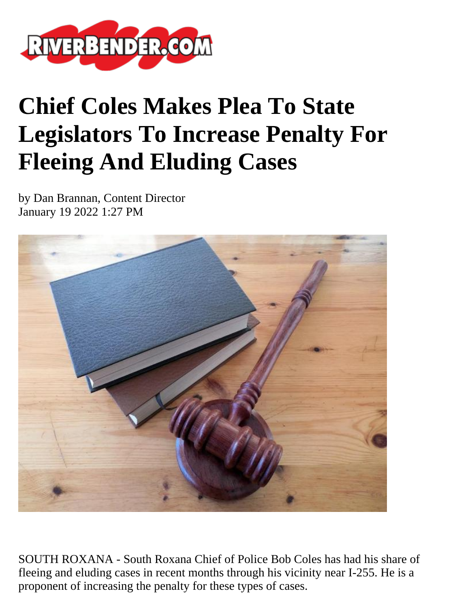

## **Chief Coles Makes Plea To State Legislators To Increase Penalty For Fleeing And Eluding Cases**

by Dan Brannan, Content Director January 19 2022 1:27 PM



SOUTH ROXANA - South Roxana Chief of Police Bob Coles has had his share of fleeing and eluding cases in recent months through his vicinity near I-255. He is a proponent of increasing the penalty for these types of cases.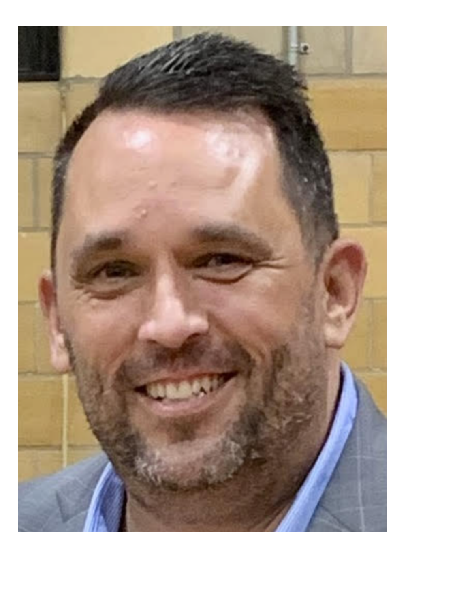